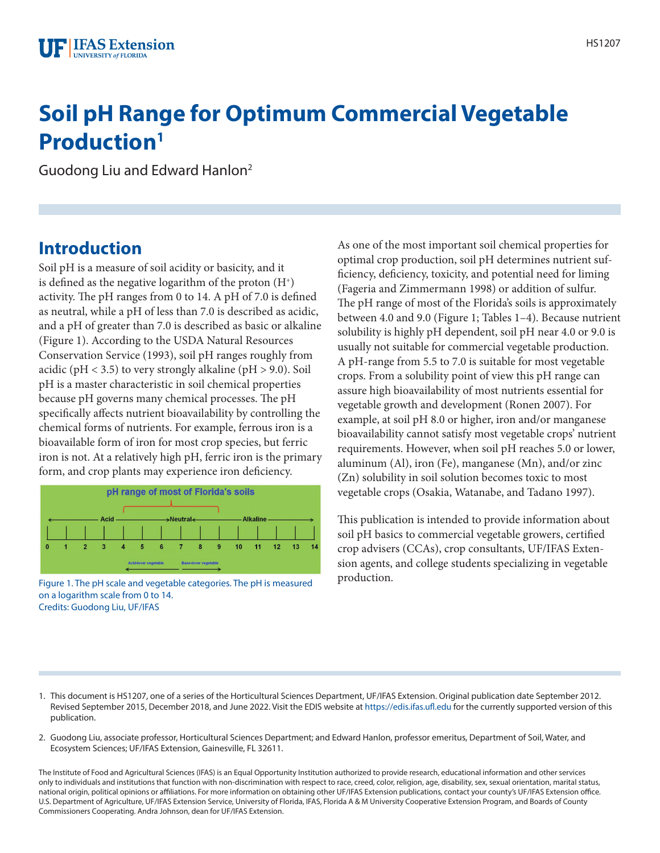# **Soil pH Range for Optimum Commercial Vegetable Production1**

Guodong Liu and Edward Hanlon2

#### **Introduction**

Soil pH is a measure of soil acidity or basicity, and it is defined as the negative logarithm of the proton  $(H^+)$ activity. The pH ranges from 0 to 14. A pH of 7.0 is defined as neutral, while a pH of less than 7.0 is described as acidic, and a pH of greater than 7.0 is described as basic or alkaline (Figure 1). According to the USDA Natural Resources Conservation Service (1993), soil pH ranges roughly from acidic ( $pH < 3.5$ ) to very strongly alkaline ( $pH > 9.0$ ). Soil pH is a master characteristic in soil chemical properties because pH governs many chemical processes. The pH specifically affects nutrient bioavailability by controlling the chemical forms of nutrients. For example, ferrous iron is a bioavailable form of iron for most crop species, but ferric iron is not. At a relatively high pH, ferric iron is the primary form, and crop plants may experience iron deficiency.



**Production.** Figure 1. The pH scale and vegetable categories. The pH is measured production. on a logarithm scale from 0 to 14. Credits: Guodong Liu, UF/IFAS

As one of the most important soil chemical properties for optimal crop production, soil pH determines nutrient sufficiency, deficiency, toxicity, and potential need for liming (Fageria and Zimmermann 1998) or addition of sulfur. The pH range of most of the Florida's soils is approximately between 4.0 and 9.0 (Figure 1; Tables 1–4). Because nutrient solubility is highly pH dependent, soil pH near 4.0 or 9.0 is usually not suitable for commercial vegetable production. A pH-range from 5.5 to 7.0 is suitable for most vegetable crops. From a solubility point of view this pH range can assure high bioavailability of most nutrients essential for vegetable growth and development (Ronen 2007). For example, at soil pH 8.0 or higher, iron and/or manganese bioavailability cannot satisfy most vegetable crops' nutrient requirements. However, when soil pH reaches 5.0 or lower, aluminum (Al), iron (Fe), manganese (Mn), and/or zinc (Zn) solubility in soil solution becomes toxic to most vegetable crops (Osakia, Watanabe, and Tadano 1997).

This publication is intended to provide information about soil pH basics to commercial vegetable growers, certified crop advisers (CCAs), crop consultants, UF/IFAS Extension agents, and college students specializing in vegetable

- 1. This document is HS1207, one of a series of the Horticultural Sciences Department, UF/IFAS Extension. Original publication date September 2012. Revised September 2015, December 2018, and June 2022. Visit the EDIS website at <https://edis.ifas.ufl.edu>for the currently supported version of this publication.
- 2. Guodong Liu, associate professor, Horticultural Sciences Department; and Edward Hanlon, professor emeritus, Department of Soil, Water, and Ecosystem Sciences; UF/IFAS Extension, Gainesville, FL 32611.

The Institute of Food and Agricultural Sciences (IFAS) is an Equal Opportunity Institution authorized to provide research, educational information and other services only to individuals and institutions that function with non-discrimination with respect to race, creed, color, religion, age, disability, sex, sexual orientation, marital status, national origin, political opinions or affiliations. For more information on obtaining other UF/IFAS Extension publications, contact your county's UF/IFAS Extension office. U.S. Department of Agriculture, UF/IFAS Extension Service, University of Florida, IFAS, Florida A & M University Cooperative Extension Program, and Boards of County Commissioners Cooperating. Andra Johnson, dean for UF/IFAS Extension.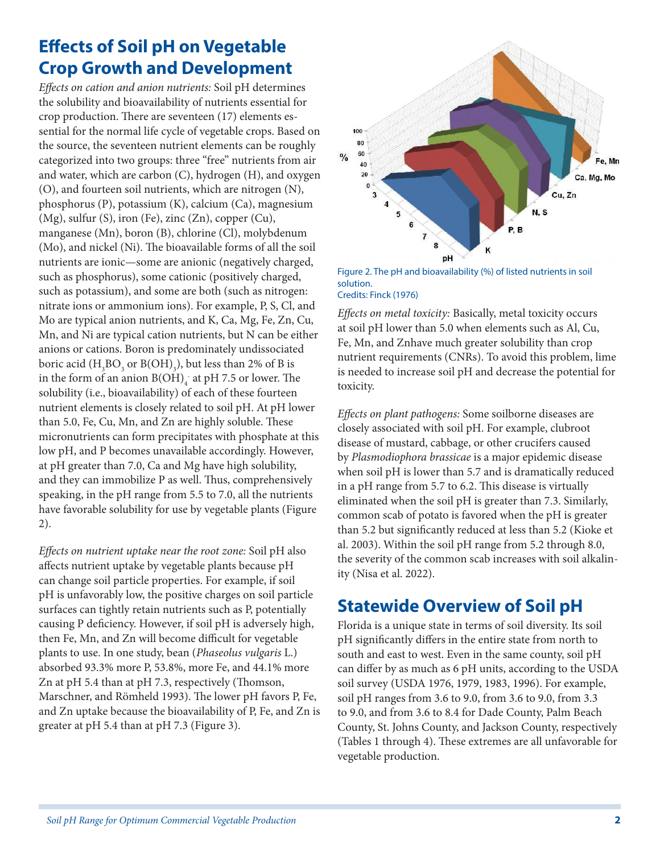### **Effects of Soil pH on Vegetable Crop Growth and Development**

*Effects on cation and anion nutrients:* Soil pH determines the solubility and bioavailability of nutrients essential for crop production. There are seventeen (17) elements essential for the normal life cycle of vegetable crops. Based on the source, the seventeen nutrient elements can be roughly categorized into two groups: three "free" nutrients from air and water, which are carbon (C), hydrogen (H), and oxygen (O), and fourteen soil nutrients, which are nitrogen (N), phosphorus (P), potassium (K), calcium (Ca), magnesium (Mg), sulfur (S), iron (Fe), zinc (Zn), copper (Cu), manganese (Mn), boron (B), chlorine (Cl), molybdenum (Mo), and nickel (Ni). The bioavailable forms of all the soil nutrients are ionic—some are anionic (negatively charged, such as phosphorus), some cationic (positively charged, such as potassium), and some are both (such as nitrogen: nitrate ions or ammonium ions). For example, P, S, Cl, and Mo are typical anion nutrients, and K, Ca, Mg, Fe, Zn, Cu, Mn, and Ni are typical cation nutrients, but N can be either anions or cations. Boron is predominately undissociated boric acid  $(H_3BO_3 \text{ or } B(OH)_3)$ , but less than 2% of B is in the form of an anion  $B(OH)_4^-$  at pH 7.5 or lower. The solubility (i.e., bioavailability) of each of these fourteen nutrient elements is closely related to soil pH. At pH lower than 5.0, Fe, Cu, Mn, and Zn are highly soluble. These micronutrients can form precipitates with phosphate at this low pH, and P becomes unavailable accordingly. However, at pH greater than 7.0, Ca and Mg have high solubility, and they can immobilize P as well. Thus, comprehensively speaking, in the pH range from 5.5 to 7.0, all the nutrients have favorable solubility for use by vegetable plants (Figure 2).

*Effects on nutrient uptake near the root zone:* Soil pH also affects nutrient uptake by vegetable plants because pH can change soil particle properties. For example, if soil pH is unfavorably low, the positive charges on soil particle surfaces can tightly retain nutrients such as P, potentially causing P deficiency. However, if soil pH is adversely high, then Fe, Mn, and Zn will become difficult for vegetable plants to use. In one study, bean (*Phaseolus vulgaris* L.) absorbed 93.3% more P, 53.8%, more Fe, and 44.1% more Zn at pH 5.4 than at pH 7.3, respectively (Thomson, Marschner, and Römheld 1993). The lower pH favors P, Fe, and Zn uptake because the bioavailability of P, Fe, and Zn is greater at pH 5.4 than at pH 7.3 (Figure 3).



Figure 2. The pH and bioavailability (%) of listed nutrients in soil solution. Credits: Finck (1976)

*Effects on metal toxicity:* Basically, metal toxicity occurs at soil pH lower than 5.0 when elements such as Al, Cu, Fe, Mn, and Znhave much greater solubility than crop nutrient requirements (CNRs). To avoid this problem, lime is needed to increase soil pH and decrease the potential for toxicity.

*Effects on plant pathogens:* Some soilborne diseases are closely associated with soil pH. For example, clubroot disease of mustard, cabbage, or other crucifers caused by *Plasmodiophora brassicae* is a major epidemic disease when soil pH is lower than 5.7 and is dramatically reduced in a pH range from 5.7 to 6.2. This disease is virtually eliminated when the soil pH is greater than 7.3. Similarly, common scab of potato is favored when the pH is greater than 5.2 but significantly reduced at less than 5.2 (Kioke et al. 2003). Within the soil pH range from 5.2 through 8.0, the severity of the common scab increases with soil alkalinity (Nisa et al. 2022).

### **Statewide Overview of Soil pH**

Florida is a unique state in terms of soil diversity. Its soil pH significantly differs in the entire state from north to south and east to west. Even in the same county, soil pH can differ by as much as 6 pH units, according to the USDA soil survey (USDA 1976, 1979, 1983, 1996). For example, soil pH ranges from 3.6 to 9.0, from 3.6 to 9.0, from 3.3 to 9.0, and from 3.6 to 8.4 for Dade County, Palm Beach County, St. Johns County, and Jackson County, respectively (Tables 1 through 4). These extremes are all unfavorable for vegetable production.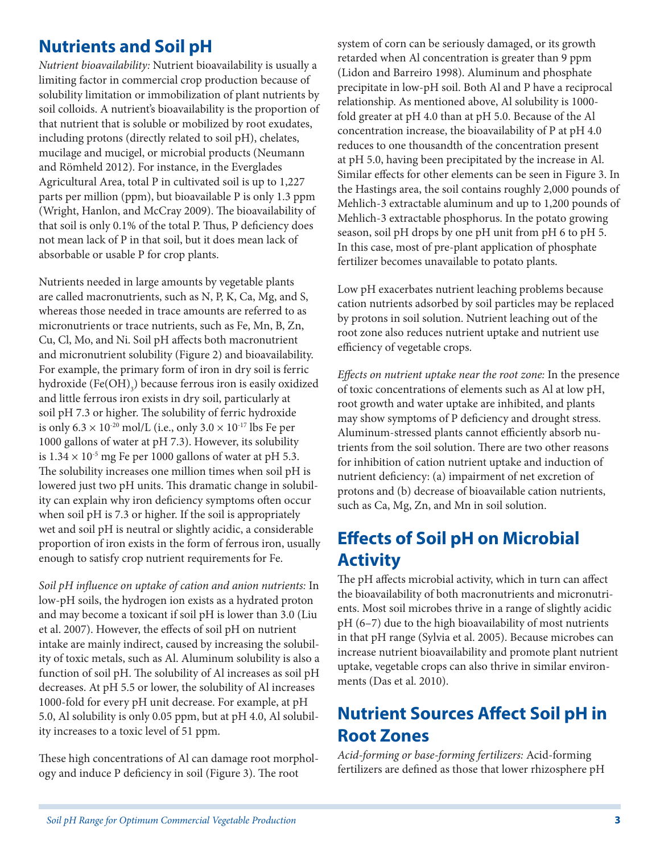#### **Nutrients and Soil pH**

*Nutrient bioavailability:* Nutrient bioavailability is usually a limiting factor in commercial crop production because of solubility limitation or immobilization of plant nutrients by soil colloids. A nutrient's bioavailability is the proportion of that nutrient that is soluble or mobilized by root exudates, including protons (directly related to soil pH), chelates, mucilage and mucigel, or microbial products (Neumann and Römheld 2012). For instance, in the Everglades Agricultural Area, total P in cultivated soil is up to 1,227 parts per million (ppm), but bioavailable P is only 1.3 ppm (Wright, Hanlon, and McCray 2009). The bioavailability of that soil is only 0.1% of the total P. Thus, P deficiency does not mean lack of P in that soil, but it does mean lack of absorbable or usable P for crop plants.

Nutrients needed in large amounts by vegetable plants are called macronutrients, such as N, P, K, Ca, Mg, and S, whereas those needed in trace amounts are referred to as micronutrients or trace nutrients, such as Fe, Mn, B, Zn, Cu, Cl, Mo, and Ni. Soil pH affects both macronutrient and micronutrient solubility (Figure 2) and bioavailability. For example, the primary form of iron in dry soil is ferric hydroxide (Fe(OH)<sub>3</sub>) because ferrous iron is easily oxidized and little ferrous iron exists in dry soil, particularly at soil pH 7.3 or higher. The solubility of ferric hydroxide is only  $6.3 \times 10^{-20}$  mol/L (i.e., only  $3.0 \times 10^{-17}$  lbs Fe per 1000 gallons of water at pH 7.3). However, its solubility is  $1.34 \times 10^{-5}$  mg Fe per 1000 gallons of water at pH 5.3. The solubility increases one million times when soil pH is lowered just two pH units. This dramatic change in solubility can explain why iron deficiency symptoms often occur when soil pH is 7.3 or higher. If the soil is appropriately wet and soil pH is neutral or slightly acidic, a considerable proportion of iron exists in the form of ferrous iron, usually enough to satisfy crop nutrient requirements for Fe.

*Soil pH influence on uptake of cation and anion nutrients:* In low-pH soils, the hydrogen ion exists as a hydrated proton and may become a toxicant if soil pH is lower than 3.0 (Liu et al. 2007). However, the effects of soil pH on nutrient intake are mainly indirect, caused by increasing the solubility of toxic metals, such as Al. Aluminum solubility is also a function of soil pH. The solubility of Al increases as soil pH decreases. At pH 5.5 or lower, the solubility of Al increases 1000-fold for every pH unit decrease. For example, at pH 5.0, Al solubility is only 0.05 ppm, but at pH 4.0, Al solubility increases to a toxic level of 51 ppm.

These high concentrations of Al can damage root morphology and induce P deficiency in soil (Figure 3). The root

system of corn can be seriously damaged, or its growth retarded when Al concentration is greater than 9 ppm (Lidon and Barreiro 1998). Aluminum and phosphate precipitate in low-pH soil. Both Al and P have a reciprocal relationship. As mentioned above, Al solubility is 1000 fold greater at pH 4.0 than at pH 5.0. Because of the Al concentration increase, the bioavailability of P at pH 4.0 reduces to one thousandth of the concentration present at pH 5.0, having been precipitated by the increase in Al. Similar effects for other elements can be seen in Figure 3. In the Hastings area, the soil contains roughly 2,000 pounds of Mehlich-3 extractable aluminum and up to 1,200 pounds of Mehlich-3 extractable phosphorus. In the potato growing season, soil pH drops by one pH unit from pH 6 to pH 5. In this case, most of pre-plant application of phosphate fertilizer becomes unavailable to potato plants.

Low pH exacerbates nutrient leaching problems because cation nutrients adsorbed by soil particles may be replaced by protons in soil solution. Nutrient leaching out of the root zone also reduces nutrient uptake and nutrient use efficiency of vegetable crops.

*Effects on nutrient uptake near the root zone:* In the presence of toxic concentrations of elements such as Al at low pH, root growth and water uptake are inhibited, and plants may show symptoms of P deficiency and drought stress. Aluminum-stressed plants cannot efficiently absorb nutrients from the soil solution. There are two other reasons for inhibition of cation nutrient uptake and induction of nutrient deficiency: (a) impairment of net excretion of protons and (b) decrease of bioavailable cation nutrients, such as Ca, Mg, Zn, and Mn in soil solution.

## **Effects of Soil pH on Microbial Activity**

The pH affects microbial activity, which in turn can affect the bioavailability of both macronutrients and micronutrients. Most soil microbes thrive in a range of slightly acidic pH (6–7) due to the high bioavailability of most nutrients in that pH range (Sylvia et al. 2005). Because microbes can increase nutrient bioavailability and promote plant nutrient uptake, vegetable crops can also thrive in similar environments (Das et al. 2010).

### **Nutrient Sources Affect Soil pH in Root Zones**

*Acid-forming or base-forming fertilizers:* Acid-forming fertilizers are defined as those that lower rhizosphere pH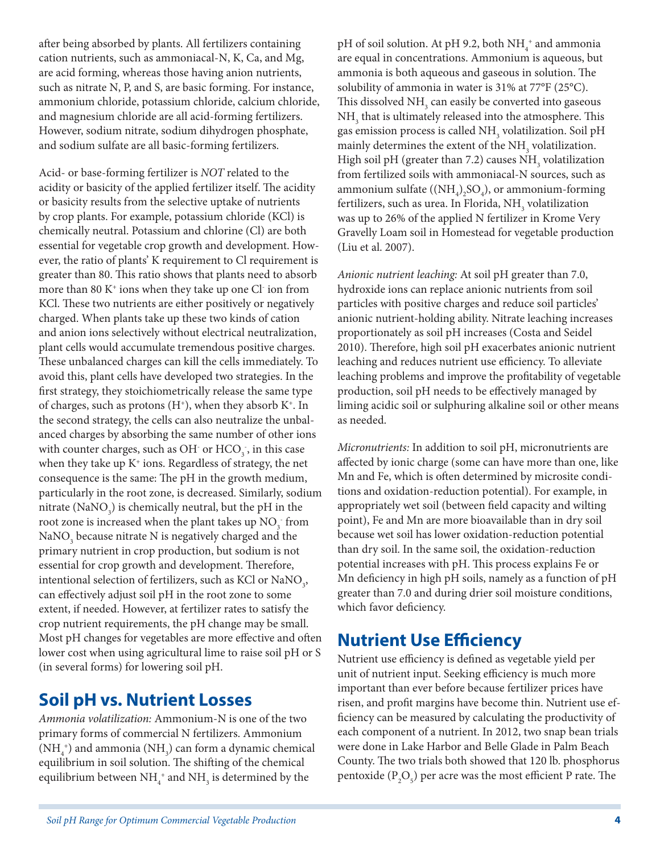after being absorbed by plants. All fertilizers containing cation nutrients, such as ammoniacal-N, K, Ca, and Mg, are acid forming, whereas those having anion nutrients, such as nitrate N, P, and S, are basic forming. For instance, ammonium chloride, potassium chloride, calcium chloride, and magnesium chloride are all acid-forming fertilizers. However, sodium nitrate, sodium dihydrogen phosphate, and sodium sulfate are all basic-forming fertilizers.

Acid- or base-forming fertilizer is *NOT* related to the acidity or basicity of the applied fertilizer itself. The acidity or basicity results from the selective uptake of nutrients by crop plants. For example, potassium chloride (KCl) is chemically neutral. Potassium and chlorine (Cl) are both essential for vegetable crop growth and development. However, the ratio of plants' K requirement to Cl requirement is greater than 80. This ratio shows that plants need to absorb more than 80  $K^+$  ions when they take up one Cl $\cdot$  ion from KCl. These two nutrients are either positively or negatively charged. When plants take up these two kinds of cation and anion ions selectively without electrical neutralization, plant cells would accumulate tremendous positive charges. These unbalanced charges can kill the cells immediately. To avoid this, plant cells have developed two strategies. In the first strategy, they stoichiometrically release the same type of charges, such as protons  $(H<sup>+</sup>)$ , when they absorb  $K<sup>+</sup>$ . In the second strategy, the cells can also neutralize the unbalanced charges by absorbing the same number of other ions with counter charges, such as OH $\,$  or HCO  $\!_{3}$  , in this case when they take up  $K^+$  ions. Regardless of strategy, the net consequence is the same: The pH in the growth medium, particularly in the root zone, is decreased. Similarly, sodium nitrate (NaNO<sub>3</sub>) is chemically neutral, but the pH in the root zone is increased when the plant takes up  $\mathrm{NO}_3^-$  from NaNO<sub>3</sub> because nitrate N is negatively charged and the primary nutrient in crop production, but sodium is not essential for crop growth and development. Therefore, intentional selection of fertilizers, such as KCl or  $\text{NaNO}_{\text{3}}$ , can effectively adjust soil pH in the root zone to some extent, if needed. However, at fertilizer rates to satisfy the crop nutrient requirements, the pH change may be small. Most pH changes for vegetables are more effective and often lower cost when using agricultural lime to raise soil pH or S (in several forms) for lowering soil pH.

#### **Soil pH vs. Nutrient Losses**

*Ammonia volatilization:* Ammonium-N is one of the two primary forms of commercial N fertilizers. Ammonium  $(\mathrm{NH}_4^+)$  and ammonia  $(\mathrm{NH}_3)$  can form a dynamic chemical equilibrium in soil solution. The shifting of the chemical equilibrium between  $\mathrm{NH}_4^+$  and  $\mathrm{NH}_3$  is determined by the

pH of soil solution. At pH 9.2, both  $NH_4^+$  and ammonia are equal in concentrations. Ammonium is aqueous, but ammonia is both aqueous and gaseous in solution. The solubility of ammonia in water is 31% at 77°F (25°C). This dissolved  $\mathrm{NH}_\mathrm{_3}$  can easily be converted into gaseous  $\mathrm{NH}_3^{}$  that is ultimately released into the atmosphere. This gas emission process is called  $\mathrm{NH}_3$  volatilization. Soil pH mainly determines the extent of the  $\mathrm{NH}_3$  volatilization. High soil pH (greater than 7.2) causes  $\mathrm{NH}_3$  volatilization from fertilized soils with ammoniacal-N sources, such as ammonium sulfate  $((NH_{4})_{2}SO_{4})$ , or ammonium-forming fertilizers, such as urea. In Florida,  $\mathrm{NH}_3^{}$  volatilization was up to 26% of the applied N fertilizer in Krome Very Gravelly Loam soil in Homestead for vegetable production (Liu et al. 2007).

*Anionic nutrient leaching:* At soil pH greater than 7.0, hydroxide ions can replace anionic nutrients from soil particles with positive charges and reduce soil particles' anionic nutrient-holding ability. Nitrate leaching increases proportionately as soil pH increases (Costa and Seidel 2010). Therefore, high soil pH exacerbates anionic nutrient leaching and reduces nutrient use efficiency. To alleviate leaching problems and improve the profitability of vegetable production, soil pH needs to be effectively managed by liming acidic soil or sulphuring alkaline soil or other means as needed.

*Micronutrients:* In addition to soil pH, micronutrients are affected by ionic charge (some can have more than one, like Mn and Fe, which is often determined by microsite conditions and oxidation-reduction potential). For example, in appropriately wet soil (between field capacity and wilting point), Fe and Mn are more bioavailable than in dry soil because wet soil has lower oxidation-reduction potential than dry soil. In the same soil, the oxidation-reduction potential increases with pH. This process explains Fe or Mn deficiency in high pH soils, namely as a function of pH greater than 7.0 and during drier soil moisture conditions, which favor deficiency.

#### **Nutrient Use Efficiency**

Nutrient use efficiency is defined as vegetable yield per unit of nutrient input. Seeking efficiency is much more important than ever before because fertilizer prices have risen, and profit margins have become thin. Nutrient use efficiency can be measured by calculating the productivity of each component of a nutrient. In 2012, two snap bean trials were done in Lake Harbor and Belle Glade in Palm Beach County. The two trials both showed that 120 lb. phosphorus pentoxide  $(P_2O_5)$  per acre was the most efficient P rate. The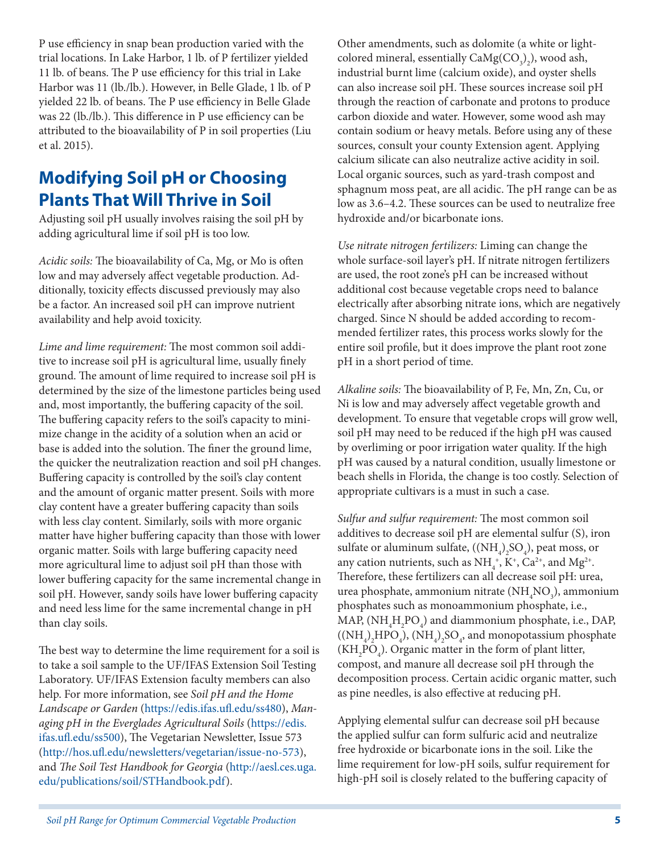P use efficiency in snap bean production varied with the trial locations. In Lake Harbor, 1 lb. of P fertilizer yielded 11 lb. of beans. The P use efficiency for this trial in Lake Harbor was 11 (lb./lb.). However, in Belle Glade, 1 lb. of P yielded 22 lb. of beans. The P use efficiency in Belle Glade was 22 (lb./lb.). This difference in P use efficiency can be attributed to the bioavailability of P in soil properties (Liu et al. 2015).

### **Modifying Soil pH or Choosing Plants That Will Thrive in Soil**

Adjusting soil pH usually involves raising the soil pH by adding agricultural lime if soil pH is too low.

*Acidic soils:* The bioavailability of Ca, Mg, or Mo is often low and may adversely affect vegetable production. Additionally, toxicity effects discussed previously may also be a factor. An increased soil pH can improve nutrient availability and help avoid toxicity.

*Lime and lime requirement:* The most common soil additive to increase soil pH is agricultural lime, usually finely ground. The amount of lime required to increase soil pH is determined by the size of the limestone particles being used and, most importantly, the buffering capacity of the soil. The buffering capacity refers to the soil's capacity to minimize change in the acidity of a solution when an acid or base is added into the solution. The finer the ground lime, the quicker the neutralization reaction and soil pH changes. Buffering capacity is controlled by the soil's clay content and the amount of organic matter present. Soils with more clay content have a greater buffering capacity than soils with less clay content. Similarly, soils with more organic matter have higher buffering capacity than those with lower organic matter. Soils with large buffering capacity need more agricultural lime to adjust soil pH than those with lower buffering capacity for the same incremental change in soil pH. However, sandy soils have lower buffering capacity and need less lime for the same incremental change in pH than clay soils.

The best way to determine the lime requirement for a soil is to take a soil sample to the UF/IFAS Extension Soil Testing Laboratory. UF/IFAS Extension faculty members can also help. For more information, see *Soil pH and the Home Landscape or Garden* [\(https://edis.ifas.ufl.edu/ss480](https://edis.ifas.ufl.edu/ss480)), *Managing pH in the Everglades Agricultural Soils* ([https://edis.](https://edis.ifas.ufl.edu/ss500) [ifas.ufl.edu/ss500](https://edis.ifas.ufl.edu/ss500)), The Vegetarian Newsletter, Issue 573 ([http://hos.ufl.edu/newsletters/vegetarian/issue-no-573\)](http://hos.ufl.edu/newsletters/vegetarian/issue-no-573), and *The Soil Test Handbook for Georgia* [\(http://aesl.ces.uga.](http://aesl.ces.uga.edu/publications/soil/STHandbook.pdf) [edu/publications/soil/STHandbook.pdf\)](http://aesl.ces.uga.edu/publications/soil/STHandbook.pdf).

Other amendments, such as dolomite (a white or lightcolored mineral, essentially  $\text{CaMg(CO}_{3})_{2}$ ), wood ash, industrial burnt lime (calcium oxide), and oyster shells can also increase soil pH. These sources increase soil pH through the reaction of carbonate and protons to produce carbon dioxide and water. However, some wood ash may contain sodium or heavy metals. Before using any of these sources, consult your county Extension agent. Applying calcium silicate can also neutralize active acidity in soil. Local organic sources, such as yard-trash compost and sphagnum moss peat, are all acidic. The pH range can be as low as 3.6–4.2. These sources can be used to neutralize free hydroxide and/or bicarbonate ions.

*Use nitrate nitrogen fertilizers:* Liming can change the whole surface-soil layer's pH. If nitrate nitrogen fertilizers are used, the root zone's pH can be increased without additional cost because vegetable crops need to balance electrically after absorbing nitrate ions, which are negatively charged. Since N should be added according to recommended fertilizer rates, this process works slowly for the entire soil profile, but it does improve the plant root zone pH in a short period of time.

*Alkaline soils:* The bioavailability of P, Fe, Mn, Zn, Cu, or Ni is low and may adversely affect vegetable growth and development. To ensure that vegetable crops will grow well, soil pH may need to be reduced if the high pH was caused by overliming or poor irrigation water quality. If the high pH was caused by a natural condition, usually limestone or beach shells in Florida, the change is too costly. Selection of appropriate cultivars is a must in such a case.

*Sulfur and sulfur requirement:* The most common soil additives to decrease soil pH are elemental sulfur (S), iron sulfate or aluminum sulfate,  $((NH<sub>4</sub>)<sub>2</sub>SO<sub>4</sub>)$ , peat moss, or any cation nutrients, such as  $NH_4^+$ ,  $K^+$ ,  $Ca^{2+}$ , and  $Mg^{2+}$ . Therefore, these fertilizers can all decrease soil pH: urea, urea phosphate, ammonium nitrate  $(\mathrm{NH}_4\mathrm{NO}_3)$ , ammonium phosphates such as monoammonium phosphate, i.e., MAP,  $(\text{NH}_4\text{H}_2\text{PO}_4)$  and diammonium phosphate, i.e., DAP,  $((NH_4)_2 HPO_4)$ ,  $(NH_4)_2 SO_4$ , and monopotassium phosphate  $(KH<sub>2</sub>PO<sub>4</sub>)$ . Organic matter in the form of plant litter, compost, and manure all decrease soil pH through the decomposition process. Certain acidic organic matter, such as pine needles, is also effective at reducing pH.

Applying elemental sulfur can decrease soil pH because the applied sulfur can form sulfuric acid and neutralize free hydroxide or bicarbonate ions in the soil. Like the lime requirement for low-pH soils, sulfur requirement for high-pH soil is closely related to the buffering capacity of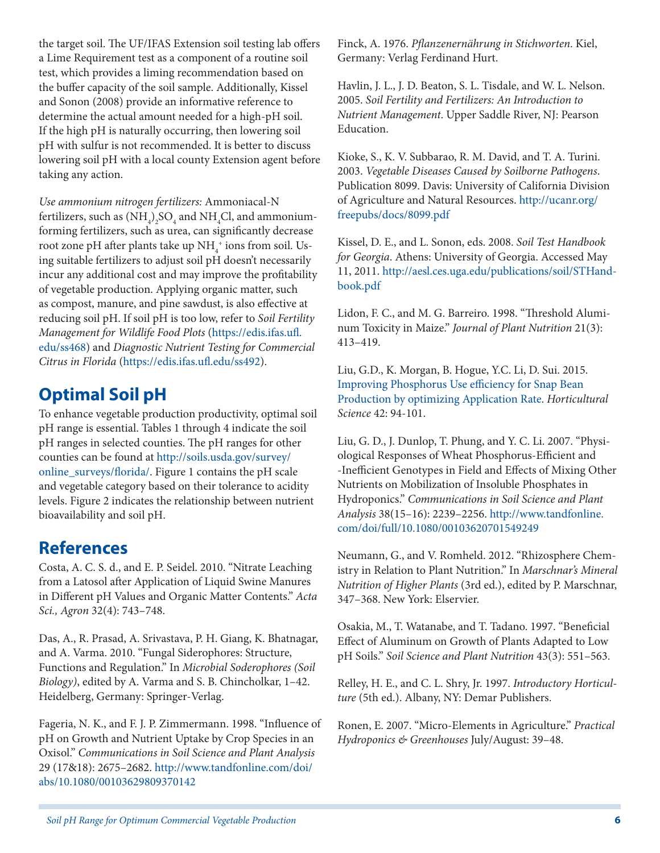the target soil. The UF/IFAS Extension soil testing lab offers a Lime Requirement test as a component of a routine soil test, which provides a liming recommendation based on the buffer capacity of the soil sample. Additionally, Kissel and Sonon (2008) provide an informative reference to determine the actual amount needed for a high-pH soil. If the high pH is naturally occurring, then lowering soil pH with sulfur is not recommended. It is better to discuss lowering soil pH with a local county Extension agent before taking any action.

*Use ammonium nitrogen fertilizers:* Ammoniacal-N fertilizers, such as  $(\mathrm{NH}_4)_2\mathrm{SO}_4$  and  $\mathrm{NH}_4\mathrm{Cl}$ , and ammoniumforming fertilizers, such as urea, can significantly decrease root zone pH after plants take up  $NH_4^+$  ions from soil. Using suitable fertilizers to adjust soil pH doesn't necessarily incur any additional cost and may improve the profitability of vegetable production. Applying organic matter, such as compost, manure, and pine sawdust, is also effective at reducing soil pH. If soil pH is too low, refer to *Soil Fertility Management for Wildlife Food Plots* ([https://edis.ifas.ufl.](https://edis.ifas.ufl.edu/ss468) [edu/ss468\)](https://edis.ifas.ufl.edu/ss468) and *Diagnostic Nutrient Testing for Commercial Citrus in Florida* [\(https://edis.ifas.ufl.edu/ss492](https://edis.ifas.ufl.edu/ss492)).

#### **Optimal Soil pH**

To enhance vegetable production productivity, optimal soil pH range is essential. Tables 1 through 4 indicate the soil pH ranges in selected counties. The pH ranges for other counties can be found at [http://soils.usda.gov/survey/](http://soils.usda.gov/survey/online_surveys/florida/) [online\\_surveys/florida/.](http://soils.usda.gov/survey/online_surveys/florida/) Figure 1 contains the pH scale and vegetable category based on their tolerance to acidity levels. Figure 2 indicates the relationship between nutrient bioavailability and soil pH.

#### **References**

Costa, A. C. S. d., and E. P. Seidel. 2010. "Nitrate Leaching from a Latosol after Application of Liquid Swine Manures in Different pH Values and Organic Matter Contents." *Acta Sci., Agron* 32(4): 743–748.

Das, A., R. Prasad, A. Srivastava, P. H. Giang, K. Bhatnagar, and A. Varma. 2010. "Fungal Siderophores: Structure, Functions and Regulation." In *Microbial Soderophores (Soil Biology)*, edited by A. Varma and S. B. Chincholkar, 1–42. Heidelberg, Germany: Springer-Verlag.

Fageria, N. K., and F. J. P. Zimmermann. 1998. "Influence of pH on Growth and Nutrient Uptake by Crop Species in an Oxisol." *Communications in Soil Science and Plant Analysis* 29 (17&18): 2675–2682. [http://www.tandfonline.com/doi/](http://www.tandfonline.com/doi/abs/10.1080/00103629809370142) [abs/10.1080/00103629809370142](http://www.tandfonline.com/doi/abs/10.1080/00103629809370142)

Finck, A. 1976. *Pflanzenernährung in Stichworten*. Kiel, Germany: Verlag Ferdinand Hurt.

Havlin, J. L., J. D. Beaton, S. L. Tisdale, and W. L. Nelson. 2005. *Soil Fertility and Fertilizers: An Introduction to Nutrient Management*. Upper Saddle River, NJ: Pearson Education.

Kioke, S., K. V. Subbarao, R. M. David, and T. A. Turini. 2003. *Vegetable Diseases Caused by Soilborne Pathogens*. Publication 8099. Davis: University of California Division of Agriculture and Natural Resources. [http://ucanr.org/](http://ucanr.org/freepubs/docs/8099.pdf) [freepubs/docs/8099.pdf](http://ucanr.org/freepubs/docs/8099.pdf)

Kissel, D. E., and L. Sonon, eds. 2008. *Soil Test Handbook for Georgia*. Athens: University of Georgia. Accessed May 11, 2011. [http://aesl.ces.uga.edu/publications/soil/STHand](http://aesl.ces.uga.edu/publications/soil/STHandbook.pdf)[book.pdf](http://aesl.ces.uga.edu/publications/soil/STHandbook.pdf)

Lidon, F. C., and M. G. Barreiro. 1998. "Threshold Aluminum Toxicity in Maize." *Journal of Plant Nutrition* 21(3): 413–419.

Liu, G.D., K. Morgan, B. Hogue, Y.C. Li, D. Sui. 2015. [Improving Phosphorus Use efficiency for Snap Bean](http://hos.ufl.edu/sites/default/files/faculty/gdliu/229-14%20Liu.pdf)  [Production by optimizing Application Rate](http://hos.ufl.edu/sites/default/files/faculty/gdliu/229-14%20Liu.pdf). *Horticultural Science* 42: 94-101.

Liu, G. D., J. Dunlop, T. Phung, and Y. C. Li. 2007. "Physiological Responses of Wheat Phosphorus-Efficient and -Inefficient Genotypes in Field and Effects of Mixing Other Nutrients on Mobilization of Insoluble Phosphates in Hydroponics." *Communications in Soil Science and Plant Analysis* 38(15–16): 2239–2256. [http://www.tandfonline.](http://www.tandfonline.com/doi/full/10.1080/00103620701549249) [com/doi/full/10.1080/00103620701549249](http://www.tandfonline.com/doi/full/10.1080/00103620701549249)

Neumann, G., and V. Romheld. 2012. "Rhizosphere Chemistry in Relation to Plant Nutrition." In *Marschnar's Mineral Nutrition of Higher Plants* (3rd ed.), edited by P. Marschnar, 347–368. New York: Elservier.

Osakia, M., T. Watanabe, and T. Tadano. 1997. "Beneficial Effect of Aluminum on Growth of Plants Adapted to Low pH Soils." *Soil Science and Plant Nutrition* 43(3): 551–563.

Relley, H. E., and C. L. Shry, Jr. 1997. *Introductory Horticulture* (5th ed.). Albany, NY: Demar Publishers.

Ronen, E. 2007. "Micro-Elements in Agriculture." *Practical Hydroponics & Greenhouses* July/August: 39–48.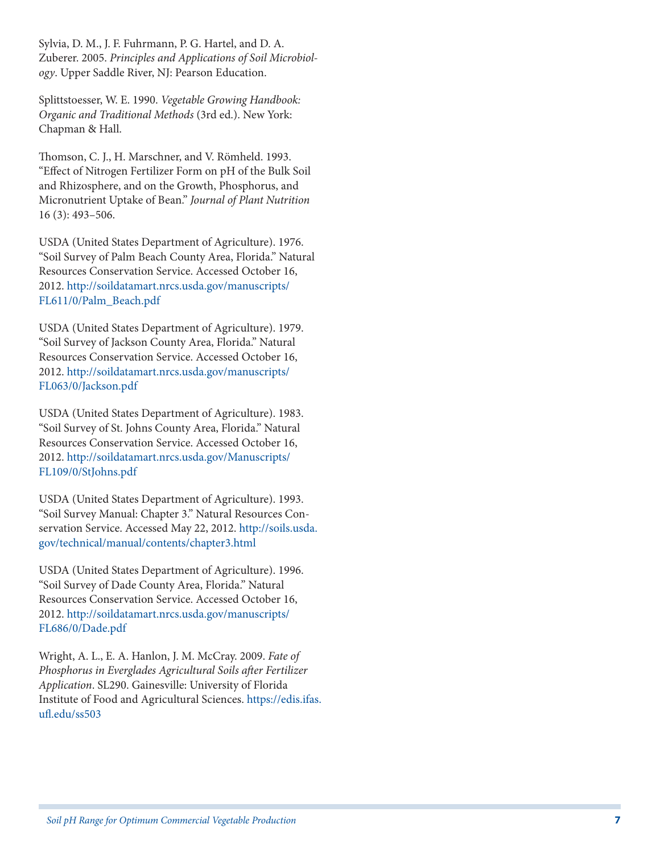Sylvia, D. M., J. F. Fuhrmann, P. G. Hartel, and D. A. Zuberer. 2005. *Principles and Applications of Soil Microbiol ogy*. Upper Saddle River, NJ: Pearson Education.

Splittstoesser, W. E. 1990. *Vegetable Growing Handbook: Organic and Traditional Methods* (3rd ed.). New York: Chapman & Hall.

Thomson, C. J., H. Marschner, and V. Römheld. 1993. "Effect of Nitrogen Fertilizer Form on pH of the Bulk Soil and Rhizosphere, and on the Growth, Phosphorus, and Micronutrient Uptake of Bean." *Journal of Plant Nutrition* 16 (3): 493–506.

USDA (United States Department of Agriculture). 1976. "Soil Survey of Palm Beach County Area, Florida." Natural Resources Conservation Service. Accessed October 16, 2012. [http://soildatamart.nrcs.usda.gov/manuscripts/](http://soildatamart.nrcs.usda.gov/manuscripts/FL611/0/Palm_Beach.pdf) [FL611/0/Palm\\_Beach.pdf](http://soildatamart.nrcs.usda.gov/manuscripts/FL611/0/Palm_Beach.pdf)

USDA (United States Department of Agriculture). 1979. "Soil Survey of Jackson County Area, Florida." Natural Resources Conservation Service. Accessed October 16, 2012. [http://soildatamart.nrcs.usda.gov/manuscripts/](http://soildatamart.nrcs.usda.gov/manuscripts/FL063/0/Jackson.pdf) [FL063/0/Jackson.pdf](http://soildatamart.nrcs.usda.gov/manuscripts/FL063/0/Jackson.pdf)

USDA (United States Department of Agriculture). 1983. "Soil Survey of St. Johns County Area, Florida." Natural Resources Conservation Service. Accessed October 16, 2012. [http://soildatamart.nrcs.usda.gov/Manuscripts/](http://soildatamart.nrcs.usda.gov/Manuscripts/FL109/0/StJohns.pdf) [FL109/0/StJohns.pdf](http://soildatamart.nrcs.usda.gov/Manuscripts/FL109/0/StJohns.pdf)

USDA (United States Department of Agriculture). 1993. "Soil Survey Manual: Chapter 3." Natural Resources Con servation Service. Accessed May 22, 2012. [http://soils.usda.](http://soils.usda.gov/technical/manual/contents/chapter3.html) [gov/technical/manual/contents/chapter3.html](http://soils.usda.gov/technical/manual/contents/chapter3.html)

USDA (United States Department of Agriculture). 1996. "Soil Survey of Dade County Area, Florida." Natural Resources Conservation Service. Accessed October 16, 2012. [http://soildatamart.nrcs.usda.gov/manuscripts/](http://soildatamart.nrcs.usda.gov/manuscripts/FL686/0/Dade.pdf) [FL686/0/Dade.pdf](http://soildatamart.nrcs.usda.gov/manuscripts/FL686/0/Dade.pdf)

Wright, A. L., E. A. Hanlon, J. M. McCray. 2009. *Fate of Phosphorus in Everglades Agricultural Soils after Fertilizer Application*. SL290. Gainesville: University of Florida Institute of Food and Agricultural Sciences. [https://edis.ifas.](https://edis.ifas.ufl.edu/ss503) [ufl.edu/ss503](https://edis.ifas.ufl.edu/ss503)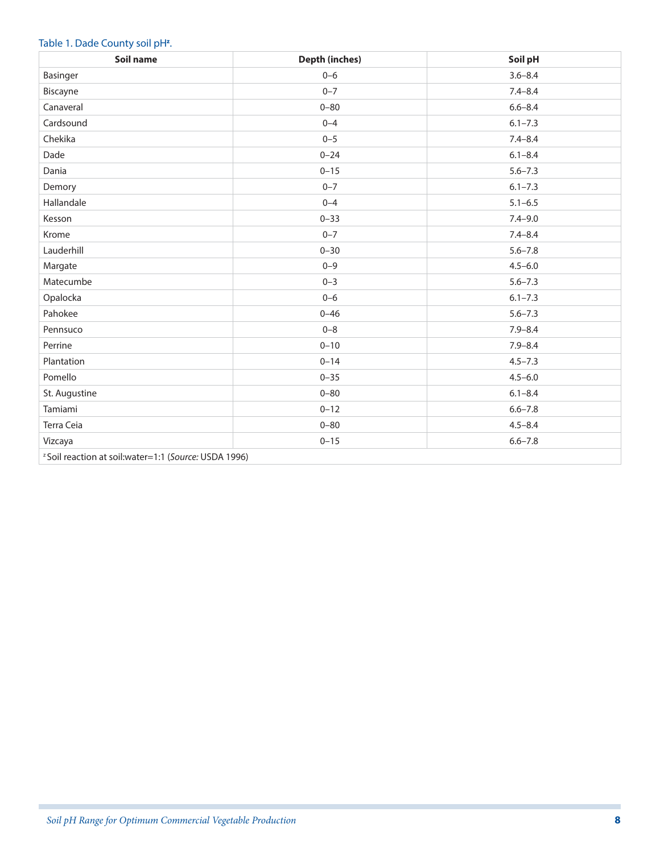#### Table 1. Dade County soil pH<sup>z</sup>.

| Soil name                                                         | <b>Depth (inches)</b> | Soil pH     |  |  |
|-------------------------------------------------------------------|-----------------------|-------------|--|--|
| Basinger                                                          | $0 - 6$               | $3.6 - 8.4$ |  |  |
| Biscayne                                                          | $0 - 7$               | $7.4 - 8.4$ |  |  |
| Canaveral                                                         | $0 - 80$              | $6.6 - 8.4$ |  |  |
| Cardsound                                                         | $0 - 4$               | $6.1 - 7.3$ |  |  |
| Chekika                                                           | $0 - 5$               | $7.4 - 8.4$ |  |  |
| Dade                                                              | $0 - 24$              | $6.1 - 8.4$ |  |  |
| Dania                                                             | $0 - 15$              | $5.6 - 7.3$ |  |  |
| Demory                                                            | $0 - 7$               | $6.1 - 7.3$ |  |  |
| Hallandale                                                        | $0 - 4$               | $5.1 - 6.5$ |  |  |
| Kesson                                                            | $0 - 33$              | $7.4 - 9.0$ |  |  |
| Krome                                                             | $0 - 7$               | $7.4 - 8.4$ |  |  |
| Lauderhill                                                        | $0 - 30$              | $5.6 - 7.8$ |  |  |
| Margate                                                           | $0 - 9$               | $4.5 - 6.0$ |  |  |
| Matecumbe                                                         | $0 - 3$               | $5.6 - 7.3$ |  |  |
| Opalocka                                                          | $0 - 6$               | $6.1 - 7.3$ |  |  |
| Pahokee                                                           | $0 - 46$              | $5.6 - 7.3$ |  |  |
| Pennsuco                                                          | $0 - 8$               | $7.9 - 8.4$ |  |  |
| Perrine                                                           | $0 - 10$              | $7.9 - 8.4$ |  |  |
| Plantation                                                        | $0 - 14$              | $4.5 - 7.3$ |  |  |
| Pomello                                                           | $0 - 35$              | $4.5 - 6.0$ |  |  |
| St. Augustine                                                     | $0 - 80$              | $6.1 - 8.4$ |  |  |
| Tamiami                                                           | $0 - 12$              | $6.6 - 7.8$ |  |  |
| Terra Ceia                                                        | $0 - 80$              | $4.5 - 8.4$ |  |  |
| Vizcaya                                                           | $0 - 15$              | $6.6 - 7.8$ |  |  |
| <sup>2</sup> Soil reaction at soil: water=1:1 (Source: USDA 1996) |                       |             |  |  |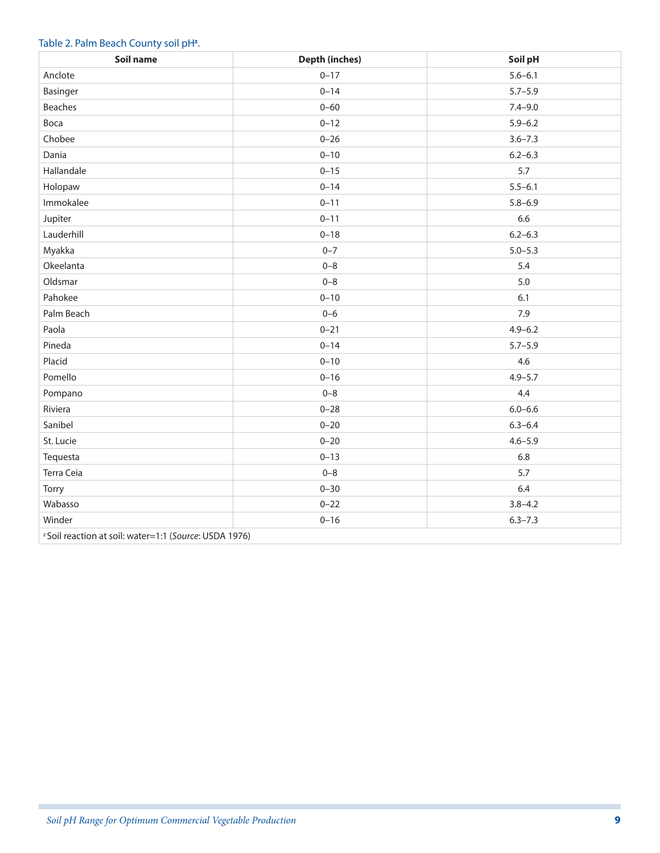#### Table 2. Palm Beach County soil pH<sup>z</sup>.

| Soil name                                                         | <b>Depth (inches)</b> | Soil pH     |  |  |
|-------------------------------------------------------------------|-----------------------|-------------|--|--|
| Anclote                                                           | $0 - 17$              | $5.6 - 6.1$ |  |  |
| Basinger                                                          | $0 - 14$              | $5.7 - 5.9$ |  |  |
| <b>Beaches</b>                                                    | $0 - 60$              | $7.4 - 9.0$ |  |  |
| Boca                                                              | $0 - 12$              | $5.9 - 6.2$ |  |  |
| Chobee                                                            | $0 - 26$              | $3.6 - 7.3$ |  |  |
| Dania                                                             | $0 - 10$              | $6.2 - 6.3$ |  |  |
| Hallandale                                                        | $0 - 15$              | 5.7         |  |  |
| Holopaw                                                           | $0 - 14$              | $5.5 - 6.1$ |  |  |
| Immokalee                                                         | $0 - 11$              | $5.8 - 6.9$ |  |  |
| Jupiter                                                           | $0 - 11$              | 6.6         |  |  |
| Lauderhill                                                        | $0 - 18$              | $6.2 - 6.3$ |  |  |
| Myakka                                                            | $0 - 7$               | $5.0 - 5.3$ |  |  |
| Okeelanta                                                         | $0 - 8$               | 5.4         |  |  |
| Oldsmar                                                           | $0 - 8$               | $5.0$       |  |  |
| Pahokee                                                           | $0 - 10$              | 6.1         |  |  |
| Palm Beach                                                        | $0 - 6$               | 7.9         |  |  |
| Paola                                                             | $0 - 21$              | $4.9 - 6.2$ |  |  |
| Pineda                                                            | $0 - 14$              | $5.7 - 5.9$ |  |  |
| Placid                                                            | $0 - 10$              | 4.6         |  |  |
| Pomello                                                           | $0 - 16$              | $4.9 - 5.7$ |  |  |
| Pompano                                                           | $0 - 8$               | 4.4         |  |  |
| Riviera                                                           | $0 - 28$              | $6.0 - 6.6$ |  |  |
| Sanibel                                                           | $0 - 20$              | $6.3 - 6.4$ |  |  |
| St. Lucie                                                         | $0 - 20$              | $4.6 - 5.9$ |  |  |
| Tequesta                                                          | $0 - 13$              | 6.8         |  |  |
| Terra Ceia                                                        | $0 - 8$               | 5.7         |  |  |
| Torry                                                             | $0 - 30$              | 6.4         |  |  |
| Wabasso                                                           | $0 - 22$              | $3.8 - 4.2$ |  |  |
| Winder                                                            | $0 - 16$              | $6.3 - 7.3$ |  |  |
| <sup>z</sup> Soil reaction at soil: water=1:1 (Source: USDA 1976) |                       |             |  |  |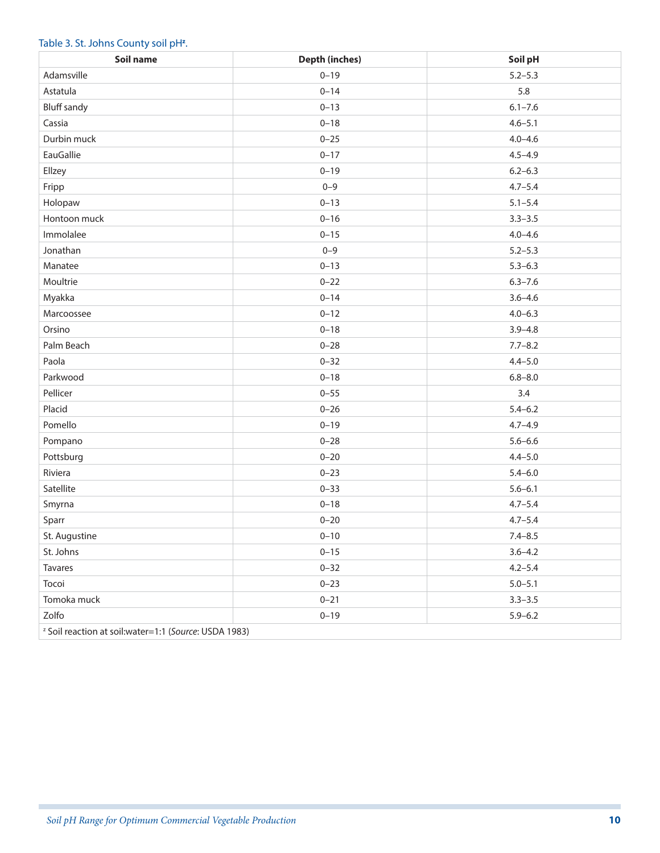#### Table 3. St. Johns County soil pH<sup>z</sup>.

| Soil name                                                         | <b>Depth (inches)</b> | Soil pH     |  |  |
|-------------------------------------------------------------------|-----------------------|-------------|--|--|
| Adamsville                                                        | $0 - 19$              | $5.2 - 5.3$ |  |  |
| Astatula                                                          | $0 - 14$              | 5.8         |  |  |
| <b>Bluff sandy</b>                                                | $0 - 13$              | $6.1 - 7.6$ |  |  |
| Cassia                                                            | $0 - 18$              | $4.6 - 5.1$ |  |  |
| Durbin muck                                                       | $0 - 25$              | $4.0 - 4.6$ |  |  |
| EauGallie                                                         | $0 - 17$              | $4.5 - 4.9$ |  |  |
| Ellzey                                                            | $0 - 19$              | $6.2 - 6.3$ |  |  |
| Fripp                                                             | $0 - 9$               | $4.7 - 5.4$ |  |  |
| Holopaw                                                           | $0 - 13$              | $5.1 - 5.4$ |  |  |
| Hontoon muck                                                      | $0 - 16$              | $3.3 - 3.5$ |  |  |
| Immolalee                                                         | $0 - 15$              | $4.0 - 4.6$ |  |  |
| Jonathan                                                          | $0 - 9$               | $5.2 - 5.3$ |  |  |
| Manatee                                                           | $0 - 13$              | $5.3 - 6.3$ |  |  |
| Moultrie                                                          | $0 - 22$              | $6.3 - 7.6$ |  |  |
| Myakka                                                            | $0 - 14$              | $3.6 - 4.6$ |  |  |
| Marcoossee                                                        | $0 - 12$              | $4.0 - 6.3$ |  |  |
| Orsino                                                            | $0 - 18$              | $3.9 - 4.8$ |  |  |
| Palm Beach                                                        | $0 - 28$              | $7.7 - 8.2$ |  |  |
| Paola                                                             | $0 - 32$              | $4.4 - 5.0$ |  |  |
| Parkwood                                                          | $0 - 18$              | $6.8 - 8.0$ |  |  |
| Pellicer                                                          | $0 - 55$              | 3.4         |  |  |
| Placid                                                            | $0 - 26$              | $5.4 - 6.2$ |  |  |
| Pomello                                                           | $0 - 19$              | $4.7 - 4.9$ |  |  |
| Pompano                                                           | $0 - 28$              | $5.6 - 6.6$ |  |  |
| Pottsburg                                                         | $0 - 20$              | $4.4 - 5.0$ |  |  |
| Riviera                                                           | $0 - 23$              | $5.4 - 6.0$ |  |  |
| Satellite                                                         | $0 - 33$              | $5.6 - 6.1$ |  |  |
| Smyrna                                                            | $0 - 18$              | $4.7 - 5.4$ |  |  |
| Sparr                                                             | $0 - 20$              | $4.7 - 5.4$ |  |  |
| St. Augustine                                                     | $0 - 10$              | $7.4 - 8.5$ |  |  |
| St. Johns                                                         | $0 - 15$              | $3.6 - 4.2$ |  |  |
| Tavares                                                           | $0 - 32$              | $4.2 - 5.4$ |  |  |
| Tocoi                                                             | $0 - 23$              | $5.0 - 5.1$ |  |  |
| Tomoka muck                                                       | $0 - 21$              | $3.3 - 3.5$ |  |  |
| Zolfo                                                             | $0 - 19$              | $5.9 - 6.2$ |  |  |
| <sup>z</sup> Soil reaction at soil: water=1:1 (Source: USDA 1983) |                       |             |  |  |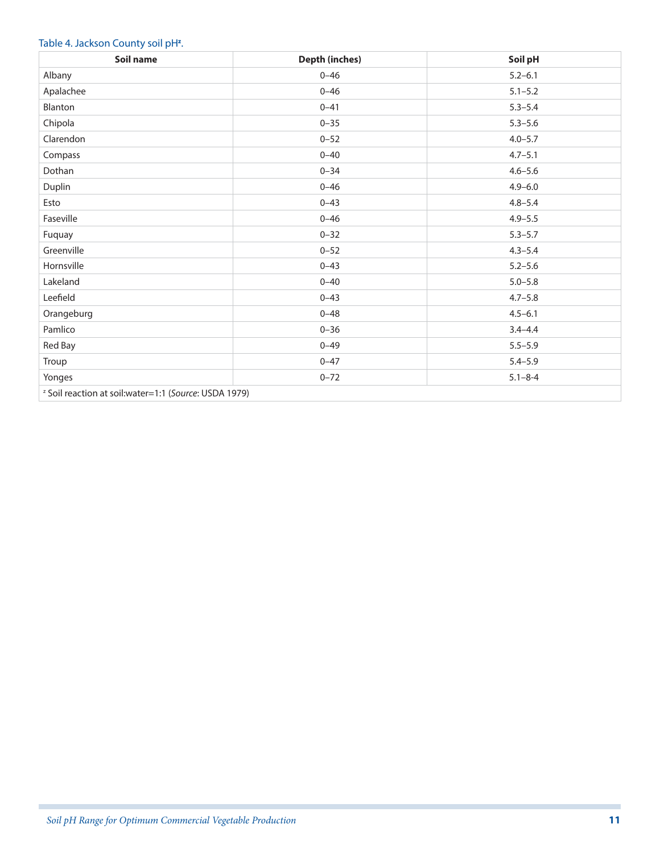#### Table 4. Jackson County soil pH<sup>z</sup>.

| Soil name                                                         | <b>Depth (inches)</b> | Soil pH       |  |  |
|-------------------------------------------------------------------|-----------------------|---------------|--|--|
| Albany                                                            | $0 - 46$              | $5.2 - 6.1$   |  |  |
| Apalachee                                                         | $0 - 46$              | $5.1 - 5.2$   |  |  |
| Blanton                                                           | $0 - 41$              | $5.3 - 5.4$   |  |  |
| Chipola                                                           | $0 - 35$              | $5.3 - 5.6$   |  |  |
| Clarendon                                                         | $0 - 52$              | $4.0 - 5.7$   |  |  |
| Compass                                                           | $0 - 40$              | $4.7 - 5.1$   |  |  |
| Dothan                                                            | $0 - 34$              | $4.6 - 5.6$   |  |  |
| Duplin                                                            | $0 - 46$              | $4.9 - 6.0$   |  |  |
| Esto                                                              | $0 - 43$              | $4.8 - 5.4$   |  |  |
| Faseville                                                         | $0 - 46$              | $4.9 - 5.5$   |  |  |
| Fuquay                                                            | $0 - 32$              | $5.3 - 5.7$   |  |  |
| Greenville                                                        | $0 - 52$              | $4.3 - 5.4$   |  |  |
| Hornsville                                                        | $0 - 43$              | $5.2 - 5.6$   |  |  |
| Lakeland                                                          | $0 - 40$              | $5.0 - 5.8$   |  |  |
| Leefield                                                          | $0 - 43$              | $4.7 - 5.8$   |  |  |
| Orangeburg                                                        | $0 - 48$              | $4.5 - 6.1$   |  |  |
| Pamlico                                                           | $0 - 36$              | $3.4 - 4.4$   |  |  |
| Red Bay                                                           | $0 - 49$              | $5.5 - 5.9$   |  |  |
| Troup                                                             | $0 - 47$              | $5.4 - 5.9$   |  |  |
| Yonges                                                            | $0 - 72$              | $5.1 - 8 - 4$ |  |  |
| <sup>2</sup> Soil reaction at soil: water=1:1 (Source: USDA 1979) |                       |               |  |  |